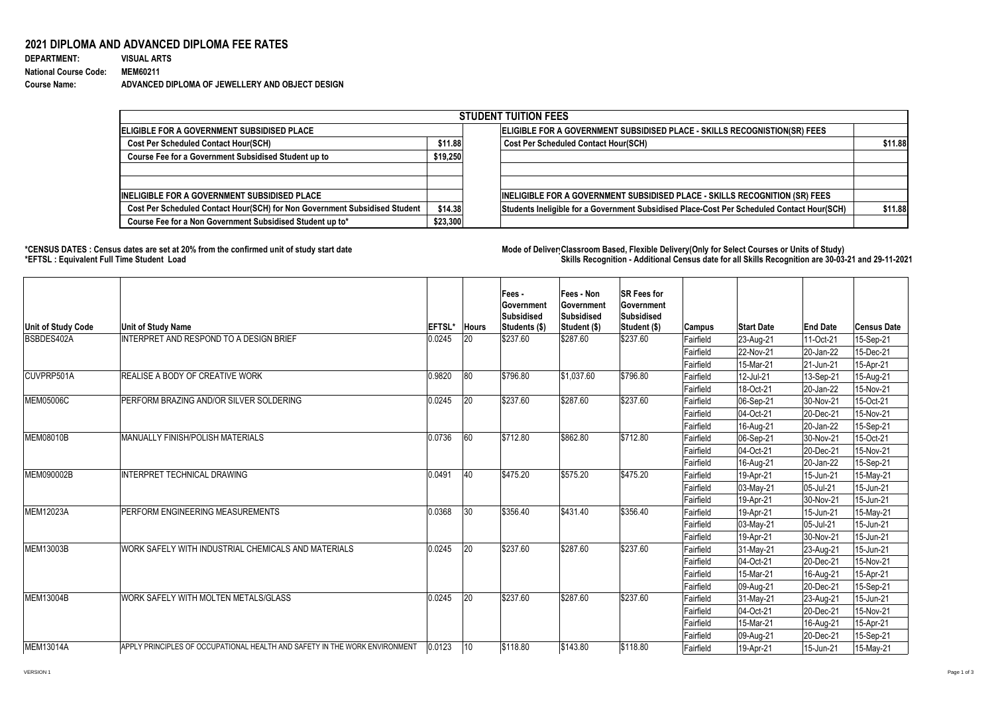## **2021 DIPLOMA AND ADVANCED DIPLOMA FEE RATES**

| <b>DEPARTMENT:</b>           | <b>VISUAL ARTS</b>                              |
|------------------------------|-------------------------------------------------|
| <b>National Course Code:</b> | <b>MEM60211</b>                                 |
| <b>Course Name:</b>          | ADVANCED DIPLOMA OF JEWELLERY AND OBJECT DESIGN |

## **\*CENSUS DATES : Census dates are set at 20% from the confirmed unit of study start date Mode of Delivery:Classroom Based, Flexible Delivery(Only for Select Courses or Units of Study) \*EFTSL : Equivalent Full Time Student Load Skills Recognition - Additional Census date for all Skills Recognition are 30-03-21 and 29-11-2021**

| <b>STUDENT TUITION FEES</b>                                                |          |                                                                                            |         |  |  |  |  |  |  |
|----------------------------------------------------------------------------|----------|--------------------------------------------------------------------------------------------|---------|--|--|--|--|--|--|
| <b>IELIGIBLE FOR A GOVERNMENT SUBSIDISED PLACE</b>                         |          | ELIGIBLE FOR A GOVERNMENT SUBSIDISED PLACE - SKILLS RECOGNISTION(SR) FEES                  |         |  |  |  |  |  |  |
| <b>Cost Per Scheduled Contact Hour(SCH)</b>                                | \$11.88  | <b>Cost Per Scheduled Contact Hour(SCH)</b>                                                | \$11.88 |  |  |  |  |  |  |
| \$19,250<br><b>Course Fee for a Government Subsidised Student up to</b>    |          |                                                                                            |         |  |  |  |  |  |  |
|                                                                            |          |                                                                                            |         |  |  |  |  |  |  |
| <b>INELIGIBLE FOR A GOVERNMENT SUBSIDISED PLACE</b>                        |          | INELIGIBLE FOR A GOVERNMENT SUBSIDISED PLACE - SKILLS RECOGNITION (SR) FEES                |         |  |  |  |  |  |  |
| Cost Per Scheduled Contact Hour(SCH) for Non Government Subsidised Student | \$14.38  | Students Ineligible for a Government Subsidised Place-Cost Per Scheduled Contact Hour(SCH) | \$11.88 |  |  |  |  |  |  |
| Course Fee for a Non Government Subsidised Student up to*                  | \$23,300 |                                                                                            |         |  |  |  |  |  |  |

| Unit of Study Code | <b>Unit of Study Name</b>                                                  | <b>EFTSL*</b> | <b>Hours</b> | Fees -<br>∣Government<br><b>Subsidised</b><br> Students (\$) | <b>Fees - Non</b><br>∣Government<br>Subsidised<br> Student (\$) | <b>ISR Fees for</b><br>∣Government<br><b>Subsidised</b><br>Student (\$) | <b>Campus</b> | <b>Start Date</b> | <b>End Date</b> | Census Date |
|--------------------|----------------------------------------------------------------------------|---------------|--------------|--------------------------------------------------------------|-----------------------------------------------------------------|-------------------------------------------------------------------------|---------------|-------------------|-----------------|-------------|
| BSBDES402A         | <b>INTERPRET AND RESPOND TO A DESIGN BRIEF</b>                             | 0.0245        | <b>20</b>    | \$237.60                                                     | \$287.60                                                        | \$237.60                                                                | Fairfield     | 23-Aug-21         | 11-Oct-21       | 15-Sep-21   |
|                    |                                                                            |               |              |                                                              |                                                                 |                                                                         | Fairfield     | 22-Nov-21         | 20-Jan-22       | 15-Dec-21   |
|                    |                                                                            |               |              |                                                              |                                                                 |                                                                         | Fairfield     | 15-Mar-21         | 21-Jun-21       | 15-Apr-21   |
| CUVPRP501A         | REALISE A BODY OF CREATIVE WORK                                            | 0.9820        | 80           | \$796.80                                                     | \$1,037.60                                                      | \$796.80                                                                | Fairfield     | 12-Jul-21         | 13-Sep-21       | 15-Aug-21   |
|                    |                                                                            |               |              |                                                              |                                                                 |                                                                         | Fairfield     | 18-Oct-21         | 20-Jan-22       | 15-Nov-21   |
| MEM05006C          | PERFORM BRAZING AND/OR SILVER SOLDERING                                    | 0.0245        | 20           | \$237.60                                                     | \$287.60                                                        | \$237.60                                                                | Fairfield     | 06-Sep-21         | 30-Nov-21       | 15-Oct-21   |
|                    |                                                                            |               |              |                                                              |                                                                 |                                                                         | Fairfield     | 04-Oct-21         | $ 20 - Dec-21 $ | 15-Nov-21   |
|                    |                                                                            |               |              |                                                              |                                                                 |                                                                         | Fairfield     | 16-Aug-21         | $ 20$ -Jan-22   | 15-Sep-21   |
| <b>MEM08010B</b>   | <b>MANUALLY FINISH/POLISH MATERIALS</b>                                    | 0.0736        | 60           | \$712.80                                                     | \$862.80                                                        | \$712.80                                                                | Fairfield     | 06-Sep-21         | 30-Nov-21       | 15-Oct-21   |
|                    |                                                                            |               |              |                                                              |                                                                 |                                                                         | Fairfield     | 04-Oct-21         | $ 20 - Dec-21 $ | 15-Nov-21   |
|                    |                                                                            |               |              |                                                              |                                                                 |                                                                         | Fairfield     | 16-Aug-21         | $ 20$ -Jan-22   | 15-Sep-21   |
| MEM090002B         | <b>INTERPRET TECHNICAL DRAWING</b>                                         | 0.0491        | 40           | \$475.20                                                     | \$575.20                                                        | \$475.20                                                                | Fairfield     | 19-Apr-21         | 15-Jun-21       | 15-May-21   |
|                    |                                                                            |               |              |                                                              |                                                                 |                                                                         | Fairfield     | $03$ -May-21      | $ 05 -$ Jul-21  | 15-Jun-21   |
|                    |                                                                            |               |              |                                                              |                                                                 |                                                                         | Fairfield     | 19-Apr-21         | 30-Nov-21       | 15-Jun-21   |
| MEM12023A          | PERFORM ENGINEERING MEASUREMENTS                                           | 0.0368        | 30           | \$356.40                                                     | \$431.40                                                        | \$356.40                                                                | Fairfield     | 19-Apr-21         | 15-Jun-21       | 15-May-21   |
|                    |                                                                            |               |              |                                                              |                                                                 |                                                                         | Fairfield     | 03-May-21         | 05-Jul-21       | 15-Jun-21   |
|                    |                                                                            |               |              |                                                              |                                                                 |                                                                         | Fairfield     | 19-Apr-21         | 30-Nov-21       | 15-Jun-21   |
| MEM13003B          | WORK SAFELY WITH INDUSTRIAL CHEMICALS AND MATERIALS                        | 0.0245        | 20           | \$237.60                                                     | \$287.60                                                        | \$237.60                                                                | Fairfield     | $31$ -May-21      | $ 23 - Aug-21 $ | 15-Jun-21   |
|                    |                                                                            |               |              |                                                              |                                                                 |                                                                         | Fairfield     | 04-Oct-21         | $ 20 - Dec-21 $ | 15-Nov-21   |
|                    |                                                                            |               |              |                                                              |                                                                 |                                                                         | Fairfield     | 15-Mar-21         | 16-Aug-21       | 15-Apr-21   |
|                    |                                                                            |               |              |                                                              |                                                                 |                                                                         | Fairfield     | 09-Aug-21         | $ 20 - Dec-21 $ | 15-Sep-21   |
| <b>MEM13004B</b>   | WORK SAFELY WITH MOLTEN METALS/GLASS                                       | 0.0245        | 20           | \$237.60                                                     | \$287.60                                                        | \$237.60                                                                | Fairfield     | $31$ -May-21      | $ 23 - Aug-21 $ | 15-Jun-21   |
|                    |                                                                            |               |              |                                                              |                                                                 |                                                                         | Fairfield     | 04-Oct-21         | 20-Dec-21       | 15-Nov-21   |
|                    |                                                                            |               |              |                                                              |                                                                 |                                                                         | Fairfield     | 15-Mar-21         | 16-Aug-21       | 15-Apr-21   |
|                    |                                                                            |               |              |                                                              |                                                                 |                                                                         | Fairfield     | 09-Aug-21         | $ 20 - Dec-21 $ | 15-Sep-21   |
| MEM13014A          | APPLY PRINCIPLES OF OCCUPATIONAL HEALTH AND SAFETY IN THE WORK ENVIRONMENT | 0.0123        | 10           | \$118.80                                                     | \$143.80                                                        | \$118.80                                                                | Fairfield     | 19-Apr-21         | 15-Jun-21       | 15-May-21   |

VERSION 1 Page 1 of 3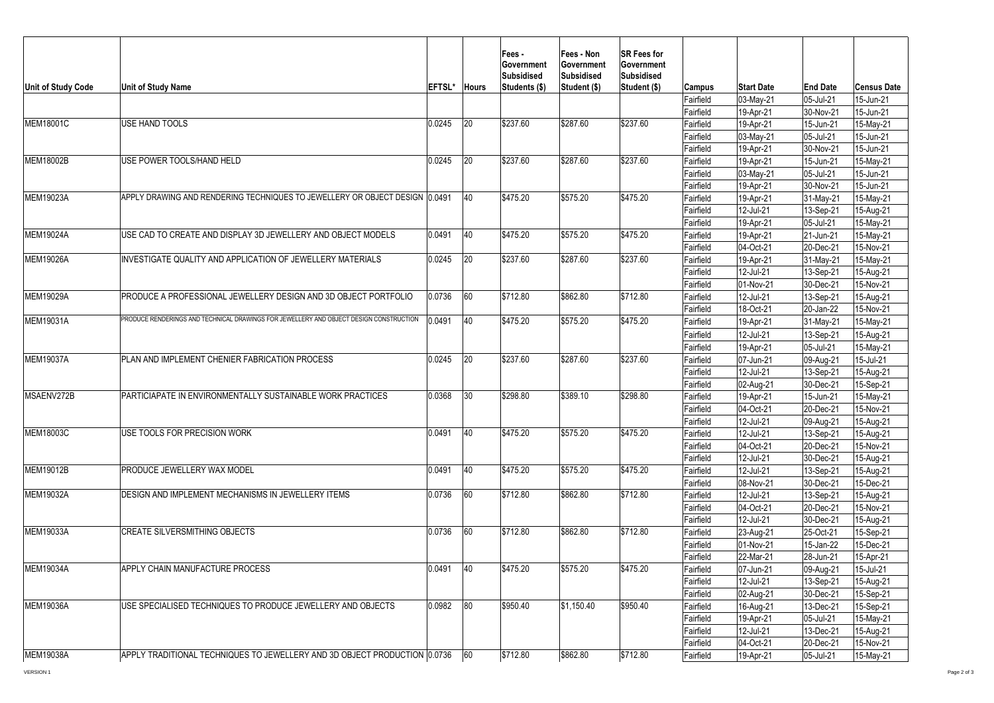| 03-May-21<br>05-Jul-21<br>15-Jun-21<br>Fairfield<br><b>Fairfield</b><br>19-Apr-21<br>30-Nov-21<br>15-Jun-21<br>20<br>\$237.60<br>\$287.60<br>0.0245<br>\$237.60<br><b>USE HAND TOOLS</b><br>15-May-21<br>Fairfield<br>19-Apr-21<br>15-Jun-21<br>15-Jun-21<br>Fairfield<br>03-May-21<br>05-Jul-21<br>Fairfield<br>19-Apr-21<br>15-Jun-21<br>30-Nov-21<br>0.0245<br>20<br>\$237.60<br>\$287.60<br>\$237.60<br>USE POWER TOOLS/HAND HELD<br>15-May-21<br>Fairfield<br>19-Apr-21<br>15-Jun-21<br>Fairfield<br>05-Jul-21<br>15-Jun-21<br>$03$ -May-21<br>19-Apr-21<br>15-Jun-21<br>Fairfield<br>30-Nov-21<br>40<br>\$475.20<br>\$575.20<br>\$475.20<br>MEM19023A<br>APPLY DRAWING AND RENDERING TECHNIQUES TO JEWELLERY OR OBJECT DESIGN (0.0491)<br>15-May-21<br>Fairfield<br>19-Apr-21<br>31-May-21<br>12-Jul-21<br>13-Sep-21<br>Fairfield<br>15-Aug-21<br>19-Apr-21<br>05-Jul-21<br>15-May-21<br>Fairfield<br>0.0491<br>$ 40\rangle$<br>\$475.20<br>\$575.20<br>\$475.20<br>MEM19024A<br>USE CAD TO CREATE AND DISPLAY 3D JEWELLERY AND OBJECT MODELS<br>19-Apr-21<br>Fairfield<br>21-Jun-21<br>15-May-21<br>Fairfield<br>04-Oct-21<br>20-Dec-21<br>15-Nov-21<br> 20<br>\$237.60<br>\$287.60<br>\$237.60<br>0.0245<br>INVESTIGATE QUALITY AND APPLICATION OF JEWELLERY MATERIALS<br>19-Apr-21<br>15-May-21<br>31-May-21<br>Fairfield<br>12-Jul-21<br>13-Sep-21<br>15-Aug-21<br>Fairfield<br>Fairfield<br>01-Nov-21<br>30-Dec-21<br>15-Nov-21<br>60<br> 0.0736 <br>\$862.80<br>\$712.80<br>\$712.80<br>PRODUCE A PROFESSIONAL JEWELLERY DESIGN AND 3D OBJECT PORTFOLIO<br>12-Jul-21<br>15-Aug-21<br>Fairfield<br>13-Sep-21<br>18-Oct-21<br>Fairfield<br>20-Jan-22<br>15-Nov-21<br>PRODUCE RENDERINGS AND TECHNICAL DRAWINGS FOR JEWELLERY AND OBJECT DESIGN CONSTRUCTION<br>40<br>0.0491<br>\$575.20<br>\$475.20<br>\$475.20<br>Fairfield<br>$ 31-May-21 $<br>15-May-21<br>19-Apr-21<br>12-Jul-21<br>13-Sep-21<br>15-Aug-21<br>Fairfield<br>05-Jul-21<br>Fairfield<br>19-Apr-21<br>15-May-21<br>0.0245<br>20<br>\$237.60<br>\$287.60<br>\$237.60<br><b>MEM19037A</b><br>PLAN AND IMPLEMENT CHENIER FABRICATION PROCESS<br>Fairfield<br>15-Jul-21<br>07-Jun-21<br>09-Aug-21<br>12-Jul-21<br>13-Sep-21<br>Fairfield<br>15-Aug-21<br>02-Aug-21<br>30-Dec-21 <br>15-Sep-21<br>Fairfield<br>0.0368<br>\$298.80<br>\$298.80<br>30<br>\$389.10<br>MSAENV272B<br>PARTICIAPATE IN ENVIRONMENTALLY SUSTAINABLE WORK PRACTICES<br>Fairfield<br>19-Apr-21<br>15-Jun-21<br>15-May-21<br>15-Nov-21<br> 04-Oct-21<br>$ 20 - Dec-21$<br>Fairfield<br>12-Jul-21<br>15-Aug-21<br>Fairfield<br>109-Aug-21 <br>40<br>0.0491<br>\$475.20<br>\$575.20<br>\$475.20<br>USE TOOLS FOR PRECISION WORK<br>12-Jul-21<br>Fairfield<br>13-Sep-21<br>15-Aug-21<br>15-Nov-21<br>04-Oct-21<br> 20-Dec-21<br>Fairfield<br>12-Jul-21<br>30-Dec-21<br>Fairfield<br>15-Aug-21<br>0.0491<br>$ 40\rangle$<br>\$475.20<br>\$575.20<br><b>PRODUCE JEWELLERY WAX MODEL</b><br>\$475.20<br>Fairfield<br>12-Jul-21<br>13-Sep-21<br>15-Aug-21<br>08-Nov-21<br>30-Dec-21<br>15-Dec-21<br>Fairfield<br>$\begin{array}{ c c c c c } \hline 0.0736 & \hline 60 \\ \hline \end{array}$<br>$\sqrt{$712.80}$<br>\$862.80<br>\$712.80<br><b>DESIGN AND IMPLEMENT MECHANISMS IN JEWELLERY ITEMS</b><br>Fairfield<br>12-Jul-21<br>13-Sep-21<br>15-Aug-21<br>04-Oct-21<br> 20-Dec-21<br>15-Nov-21<br>Fairfield<br>30-Dec-21<br>Fairfield<br>12-Jul-21<br>15-Aug-21<br>\$862.80<br>0.0736<br>60<br>\$712.80<br>\$712.80<br><b>CREATE SILVERSMITHING OBJECTS</b><br>Fairfield<br>23-Aug-21<br>25-Oct-21<br>15-Sep-21<br>Fairfield<br>15-Jan-22<br>15-Dec-21<br>01-Nov-21<br>Fairfield<br>22-Mar-21<br>28-Jun-21<br>15-Apr-21<br>0.0491<br><b>40</b><br>\$475.20<br>\$575.20<br>\$475.20<br><b>APPLY CHAIN MANUFACTURE PROCESS</b><br>Fairfield<br>15-Jul-21<br>07-Jun-21<br>09-Aug-21 <br>12-Jul-21<br>13-Sep-21<br>15-Aug-21<br>Fairfield<br>Fairfield<br>30-Dec-21<br>15-Sep-21<br>02-Aug-21<br>$ 80\rangle$<br>0.0982<br>\$950.40<br>\$950.40<br>MEM19036A<br>\$1,150.40<br>USE SPECIALISED TECHNIQUES TO PRODUCE JEWELLERY AND OBJECTS<br>16-Aug-21<br>13-Dec-21<br>15-Sep-21<br>Fairfield<br>19-Apr-21<br>05-Jul-21<br>Fairfield<br>15-May-21<br>12-Jul-21<br>Fairfield<br>13-Dec-21<br>15-Aug-21<br>04-Oct-21<br>Fairfield<br> 20-Dec-21<br>15-Nov-21<br>\$712.80<br>\$862.80<br>\$712.80<br>APPLY TRADITIONAL TECHNIQUES TO JEWELLERY AND 3D OBJECT PRODUCTION 0.0736<br>60<br>Fairfield<br>05-Jul-21<br>15-May-21<br>19-Apr-21 | <b>Unit of Study Code</b> | <b>Unit of Study Name</b> | <b>IEFTSL*</b> | <b>Hours</b> | Fees -<br><b>Government</b><br><b>Subsidised</b><br> Students (\$) | <b>Fees - Non</b><br>∣Government<br><b>Subsidised</b><br><b>Student (\$)</b> | <b>SR Fees for</b><br><b>Government</b><br><b>Subsidised</b><br><b>Student (\$)</b> | <b>Campus</b> | <b>Start Date</b> | <b>End Date</b> | <b>Census Date</b> |
|---------------------------------------------------------------------------------------------------------------------------------------------------------------------------------------------------------------------------------------------------------------------------------------------------------------------------------------------------------------------------------------------------------------------------------------------------------------------------------------------------------------------------------------------------------------------------------------------------------------------------------------------------------------------------------------------------------------------------------------------------------------------------------------------------------------------------------------------------------------------------------------------------------------------------------------------------------------------------------------------------------------------------------------------------------------------------------------------------------------------------------------------------------------------------------------------------------------------------------------------------------------------------------------------------------------------------------------------------------------------------------------------------------------------------------------------------------------------------------------------------------------------------------------------------------------------------------------------------------------------------------------------------------------------------------------------------------------------------------------------------------------------------------------------------------------------------------------------------------------------------------------------------------------------------------------------------------------------------------------------------------------------------------------------------------------------------------------------------------------------------------------------------------------------------------------------------------------------------------------------------------------------------------------------------------------------------------------------------------------------------------------------------------------------------------------------------------------------------------------------------------------------------------------------------------------------------------------------------------------------------------------------------------------------------------------------------------------------------------------------------------------------------------------------------------------------------------------------------------------------------------------------------------------------------------------------------------------------------------------------------------------------------------------------------------------------------------------------------------------------------------------------------------------------------------------------------------------------------------------------------------------------------------------------------------------------------------------------------------------------------------------------------------------------------------------------------------------------------------------------------------------------------------------------------------------------------------------------------------------------------------------------------------------------------------------------------------------------------------------------------------------------------------------------------------------------------------------------------------------------------------------------------------------------------------------------------------------------------------------------------------------------------------------------------------------------------------------------------------------------------------------------------------------------------------------------------------------------------------------------------------------------------------------------------------------------------------------------------------------------------------------------------------------------------------------------------------------------------|---------------------------|---------------------------|----------------|--------------|--------------------------------------------------------------------|------------------------------------------------------------------------------|-------------------------------------------------------------------------------------|---------------|-------------------|-----------------|--------------------|
|                                                                                                                                                                                                                                                                                                                                                                                                                                                                                                                                                                                                                                                                                                                                                                                                                                                                                                                                                                                                                                                                                                                                                                                                                                                                                                                                                                                                                                                                                                                                                                                                                                                                                                                                                                                                                                                                                                                                                                                                                                                                                                                                                                                                                                                                                                                                                                                                                                                                                                                                                                                                                                                                                                                                                                                                                                                                                                                                                                                                                                                                                                                                                                                                                                                                                                                                                                                                                                                                                                                                                                                                                                                                                                                                                                                                                                                                                                                                                                                                                                                                                                                                                                                                                                                                                                                                                                                                                                                                           |                           |                           |                |              |                                                                    |                                                                              |                                                                                     |               |                   |                 |                    |
|                                                                                                                                                                                                                                                                                                                                                                                                                                                                                                                                                                                                                                                                                                                                                                                                                                                                                                                                                                                                                                                                                                                                                                                                                                                                                                                                                                                                                                                                                                                                                                                                                                                                                                                                                                                                                                                                                                                                                                                                                                                                                                                                                                                                                                                                                                                                                                                                                                                                                                                                                                                                                                                                                                                                                                                                                                                                                                                                                                                                                                                                                                                                                                                                                                                                                                                                                                                                                                                                                                                                                                                                                                                                                                                                                                                                                                                                                                                                                                                                                                                                                                                                                                                                                                                                                                                                                                                                                                                                           |                           |                           |                |              |                                                                    |                                                                              |                                                                                     |               |                   |                 |                    |
|                                                                                                                                                                                                                                                                                                                                                                                                                                                                                                                                                                                                                                                                                                                                                                                                                                                                                                                                                                                                                                                                                                                                                                                                                                                                                                                                                                                                                                                                                                                                                                                                                                                                                                                                                                                                                                                                                                                                                                                                                                                                                                                                                                                                                                                                                                                                                                                                                                                                                                                                                                                                                                                                                                                                                                                                                                                                                                                                                                                                                                                                                                                                                                                                                                                                                                                                                                                                                                                                                                                                                                                                                                                                                                                                                                                                                                                                                                                                                                                                                                                                                                                                                                                                                                                                                                                                                                                                                                                                           | <b>IMEM18001C</b>         |                           |                |              |                                                                    |                                                                              |                                                                                     |               |                   |                 |                    |
|                                                                                                                                                                                                                                                                                                                                                                                                                                                                                                                                                                                                                                                                                                                                                                                                                                                                                                                                                                                                                                                                                                                                                                                                                                                                                                                                                                                                                                                                                                                                                                                                                                                                                                                                                                                                                                                                                                                                                                                                                                                                                                                                                                                                                                                                                                                                                                                                                                                                                                                                                                                                                                                                                                                                                                                                                                                                                                                                                                                                                                                                                                                                                                                                                                                                                                                                                                                                                                                                                                                                                                                                                                                                                                                                                                                                                                                                                                                                                                                                                                                                                                                                                                                                                                                                                                                                                                                                                                                                           |                           |                           |                |              |                                                                    |                                                                              |                                                                                     |               |                   |                 |                    |
|                                                                                                                                                                                                                                                                                                                                                                                                                                                                                                                                                                                                                                                                                                                                                                                                                                                                                                                                                                                                                                                                                                                                                                                                                                                                                                                                                                                                                                                                                                                                                                                                                                                                                                                                                                                                                                                                                                                                                                                                                                                                                                                                                                                                                                                                                                                                                                                                                                                                                                                                                                                                                                                                                                                                                                                                                                                                                                                                                                                                                                                                                                                                                                                                                                                                                                                                                                                                                                                                                                                                                                                                                                                                                                                                                                                                                                                                                                                                                                                                                                                                                                                                                                                                                                                                                                                                                                                                                                                                           |                           |                           |                |              |                                                                    |                                                                              |                                                                                     |               |                   |                 |                    |
|                                                                                                                                                                                                                                                                                                                                                                                                                                                                                                                                                                                                                                                                                                                                                                                                                                                                                                                                                                                                                                                                                                                                                                                                                                                                                                                                                                                                                                                                                                                                                                                                                                                                                                                                                                                                                                                                                                                                                                                                                                                                                                                                                                                                                                                                                                                                                                                                                                                                                                                                                                                                                                                                                                                                                                                                                                                                                                                                                                                                                                                                                                                                                                                                                                                                                                                                                                                                                                                                                                                                                                                                                                                                                                                                                                                                                                                                                                                                                                                                                                                                                                                                                                                                                                                                                                                                                                                                                                                                           | MEM18002B                 |                           |                |              |                                                                    |                                                                              |                                                                                     |               |                   |                 |                    |
|                                                                                                                                                                                                                                                                                                                                                                                                                                                                                                                                                                                                                                                                                                                                                                                                                                                                                                                                                                                                                                                                                                                                                                                                                                                                                                                                                                                                                                                                                                                                                                                                                                                                                                                                                                                                                                                                                                                                                                                                                                                                                                                                                                                                                                                                                                                                                                                                                                                                                                                                                                                                                                                                                                                                                                                                                                                                                                                                                                                                                                                                                                                                                                                                                                                                                                                                                                                                                                                                                                                                                                                                                                                                                                                                                                                                                                                                                                                                                                                                                                                                                                                                                                                                                                                                                                                                                                                                                                                                           |                           |                           |                |              |                                                                    |                                                                              |                                                                                     |               |                   |                 |                    |
|                                                                                                                                                                                                                                                                                                                                                                                                                                                                                                                                                                                                                                                                                                                                                                                                                                                                                                                                                                                                                                                                                                                                                                                                                                                                                                                                                                                                                                                                                                                                                                                                                                                                                                                                                                                                                                                                                                                                                                                                                                                                                                                                                                                                                                                                                                                                                                                                                                                                                                                                                                                                                                                                                                                                                                                                                                                                                                                                                                                                                                                                                                                                                                                                                                                                                                                                                                                                                                                                                                                                                                                                                                                                                                                                                                                                                                                                                                                                                                                                                                                                                                                                                                                                                                                                                                                                                                                                                                                                           |                           |                           |                |              |                                                                    |                                                                              |                                                                                     |               |                   |                 |                    |
|                                                                                                                                                                                                                                                                                                                                                                                                                                                                                                                                                                                                                                                                                                                                                                                                                                                                                                                                                                                                                                                                                                                                                                                                                                                                                                                                                                                                                                                                                                                                                                                                                                                                                                                                                                                                                                                                                                                                                                                                                                                                                                                                                                                                                                                                                                                                                                                                                                                                                                                                                                                                                                                                                                                                                                                                                                                                                                                                                                                                                                                                                                                                                                                                                                                                                                                                                                                                                                                                                                                                                                                                                                                                                                                                                                                                                                                                                                                                                                                                                                                                                                                                                                                                                                                                                                                                                                                                                                                                           |                           |                           |                |              |                                                                    |                                                                              |                                                                                     |               |                   |                 |                    |
|                                                                                                                                                                                                                                                                                                                                                                                                                                                                                                                                                                                                                                                                                                                                                                                                                                                                                                                                                                                                                                                                                                                                                                                                                                                                                                                                                                                                                                                                                                                                                                                                                                                                                                                                                                                                                                                                                                                                                                                                                                                                                                                                                                                                                                                                                                                                                                                                                                                                                                                                                                                                                                                                                                                                                                                                                                                                                                                                                                                                                                                                                                                                                                                                                                                                                                                                                                                                                                                                                                                                                                                                                                                                                                                                                                                                                                                                                                                                                                                                                                                                                                                                                                                                                                                                                                                                                                                                                                                                           |                           |                           |                |              |                                                                    |                                                                              |                                                                                     |               |                   |                 |                    |
|                                                                                                                                                                                                                                                                                                                                                                                                                                                                                                                                                                                                                                                                                                                                                                                                                                                                                                                                                                                                                                                                                                                                                                                                                                                                                                                                                                                                                                                                                                                                                                                                                                                                                                                                                                                                                                                                                                                                                                                                                                                                                                                                                                                                                                                                                                                                                                                                                                                                                                                                                                                                                                                                                                                                                                                                                                                                                                                                                                                                                                                                                                                                                                                                                                                                                                                                                                                                                                                                                                                                                                                                                                                                                                                                                                                                                                                                                                                                                                                                                                                                                                                                                                                                                                                                                                                                                                                                                                                                           |                           |                           |                |              |                                                                    |                                                                              |                                                                                     |               |                   |                 |                    |
|                                                                                                                                                                                                                                                                                                                                                                                                                                                                                                                                                                                                                                                                                                                                                                                                                                                                                                                                                                                                                                                                                                                                                                                                                                                                                                                                                                                                                                                                                                                                                                                                                                                                                                                                                                                                                                                                                                                                                                                                                                                                                                                                                                                                                                                                                                                                                                                                                                                                                                                                                                                                                                                                                                                                                                                                                                                                                                                                                                                                                                                                                                                                                                                                                                                                                                                                                                                                                                                                                                                                                                                                                                                                                                                                                                                                                                                                                                                                                                                                                                                                                                                                                                                                                                                                                                                                                                                                                                                                           |                           |                           |                |              |                                                                    |                                                                              |                                                                                     |               |                   |                 |                    |
|                                                                                                                                                                                                                                                                                                                                                                                                                                                                                                                                                                                                                                                                                                                                                                                                                                                                                                                                                                                                                                                                                                                                                                                                                                                                                                                                                                                                                                                                                                                                                                                                                                                                                                                                                                                                                                                                                                                                                                                                                                                                                                                                                                                                                                                                                                                                                                                                                                                                                                                                                                                                                                                                                                                                                                                                                                                                                                                                                                                                                                                                                                                                                                                                                                                                                                                                                                                                                                                                                                                                                                                                                                                                                                                                                                                                                                                                                                                                                                                                                                                                                                                                                                                                                                                                                                                                                                                                                                                                           |                           |                           |                |              |                                                                    |                                                                              |                                                                                     |               |                   |                 |                    |
|                                                                                                                                                                                                                                                                                                                                                                                                                                                                                                                                                                                                                                                                                                                                                                                                                                                                                                                                                                                                                                                                                                                                                                                                                                                                                                                                                                                                                                                                                                                                                                                                                                                                                                                                                                                                                                                                                                                                                                                                                                                                                                                                                                                                                                                                                                                                                                                                                                                                                                                                                                                                                                                                                                                                                                                                                                                                                                                                                                                                                                                                                                                                                                                                                                                                                                                                                                                                                                                                                                                                                                                                                                                                                                                                                                                                                                                                                                                                                                                                                                                                                                                                                                                                                                                                                                                                                                                                                                                                           | <b>MEM19026A</b>          |                           |                |              |                                                                    |                                                                              |                                                                                     |               |                   |                 |                    |
|                                                                                                                                                                                                                                                                                                                                                                                                                                                                                                                                                                                                                                                                                                                                                                                                                                                                                                                                                                                                                                                                                                                                                                                                                                                                                                                                                                                                                                                                                                                                                                                                                                                                                                                                                                                                                                                                                                                                                                                                                                                                                                                                                                                                                                                                                                                                                                                                                                                                                                                                                                                                                                                                                                                                                                                                                                                                                                                                                                                                                                                                                                                                                                                                                                                                                                                                                                                                                                                                                                                                                                                                                                                                                                                                                                                                                                                                                                                                                                                                                                                                                                                                                                                                                                                                                                                                                                                                                                                                           |                           |                           |                |              |                                                                    |                                                                              |                                                                                     |               |                   |                 |                    |
|                                                                                                                                                                                                                                                                                                                                                                                                                                                                                                                                                                                                                                                                                                                                                                                                                                                                                                                                                                                                                                                                                                                                                                                                                                                                                                                                                                                                                                                                                                                                                                                                                                                                                                                                                                                                                                                                                                                                                                                                                                                                                                                                                                                                                                                                                                                                                                                                                                                                                                                                                                                                                                                                                                                                                                                                                                                                                                                                                                                                                                                                                                                                                                                                                                                                                                                                                                                                                                                                                                                                                                                                                                                                                                                                                                                                                                                                                                                                                                                                                                                                                                                                                                                                                                                                                                                                                                                                                                                                           |                           |                           |                |              |                                                                    |                                                                              |                                                                                     |               |                   |                 |                    |
|                                                                                                                                                                                                                                                                                                                                                                                                                                                                                                                                                                                                                                                                                                                                                                                                                                                                                                                                                                                                                                                                                                                                                                                                                                                                                                                                                                                                                                                                                                                                                                                                                                                                                                                                                                                                                                                                                                                                                                                                                                                                                                                                                                                                                                                                                                                                                                                                                                                                                                                                                                                                                                                                                                                                                                                                                                                                                                                                                                                                                                                                                                                                                                                                                                                                                                                                                                                                                                                                                                                                                                                                                                                                                                                                                                                                                                                                                                                                                                                                                                                                                                                                                                                                                                                                                                                                                                                                                                                                           | <b>IMEM19029A</b>         |                           |                |              |                                                                    |                                                                              |                                                                                     |               |                   |                 |                    |
|                                                                                                                                                                                                                                                                                                                                                                                                                                                                                                                                                                                                                                                                                                                                                                                                                                                                                                                                                                                                                                                                                                                                                                                                                                                                                                                                                                                                                                                                                                                                                                                                                                                                                                                                                                                                                                                                                                                                                                                                                                                                                                                                                                                                                                                                                                                                                                                                                                                                                                                                                                                                                                                                                                                                                                                                                                                                                                                                                                                                                                                                                                                                                                                                                                                                                                                                                                                                                                                                                                                                                                                                                                                                                                                                                                                                                                                                                                                                                                                                                                                                                                                                                                                                                                                                                                                                                                                                                                                                           |                           |                           |                |              |                                                                    |                                                                              |                                                                                     |               |                   |                 |                    |
|                                                                                                                                                                                                                                                                                                                                                                                                                                                                                                                                                                                                                                                                                                                                                                                                                                                                                                                                                                                                                                                                                                                                                                                                                                                                                                                                                                                                                                                                                                                                                                                                                                                                                                                                                                                                                                                                                                                                                                                                                                                                                                                                                                                                                                                                                                                                                                                                                                                                                                                                                                                                                                                                                                                                                                                                                                                                                                                                                                                                                                                                                                                                                                                                                                                                                                                                                                                                                                                                                                                                                                                                                                                                                                                                                                                                                                                                                                                                                                                                                                                                                                                                                                                                                                                                                                                                                                                                                                                                           | <b>IMEM19031A</b>         |                           |                |              |                                                                    |                                                                              |                                                                                     |               |                   |                 |                    |
|                                                                                                                                                                                                                                                                                                                                                                                                                                                                                                                                                                                                                                                                                                                                                                                                                                                                                                                                                                                                                                                                                                                                                                                                                                                                                                                                                                                                                                                                                                                                                                                                                                                                                                                                                                                                                                                                                                                                                                                                                                                                                                                                                                                                                                                                                                                                                                                                                                                                                                                                                                                                                                                                                                                                                                                                                                                                                                                                                                                                                                                                                                                                                                                                                                                                                                                                                                                                                                                                                                                                                                                                                                                                                                                                                                                                                                                                                                                                                                                                                                                                                                                                                                                                                                                                                                                                                                                                                                                                           |                           |                           |                |              |                                                                    |                                                                              |                                                                                     |               |                   |                 |                    |
|                                                                                                                                                                                                                                                                                                                                                                                                                                                                                                                                                                                                                                                                                                                                                                                                                                                                                                                                                                                                                                                                                                                                                                                                                                                                                                                                                                                                                                                                                                                                                                                                                                                                                                                                                                                                                                                                                                                                                                                                                                                                                                                                                                                                                                                                                                                                                                                                                                                                                                                                                                                                                                                                                                                                                                                                                                                                                                                                                                                                                                                                                                                                                                                                                                                                                                                                                                                                                                                                                                                                                                                                                                                                                                                                                                                                                                                                                                                                                                                                                                                                                                                                                                                                                                                                                                                                                                                                                                                                           |                           |                           |                |              |                                                                    |                                                                              |                                                                                     |               |                   |                 |                    |
|                                                                                                                                                                                                                                                                                                                                                                                                                                                                                                                                                                                                                                                                                                                                                                                                                                                                                                                                                                                                                                                                                                                                                                                                                                                                                                                                                                                                                                                                                                                                                                                                                                                                                                                                                                                                                                                                                                                                                                                                                                                                                                                                                                                                                                                                                                                                                                                                                                                                                                                                                                                                                                                                                                                                                                                                                                                                                                                                                                                                                                                                                                                                                                                                                                                                                                                                                                                                                                                                                                                                                                                                                                                                                                                                                                                                                                                                                                                                                                                                                                                                                                                                                                                                                                                                                                                                                                                                                                                                           |                           |                           |                |              |                                                                    |                                                                              |                                                                                     |               |                   |                 |                    |
|                                                                                                                                                                                                                                                                                                                                                                                                                                                                                                                                                                                                                                                                                                                                                                                                                                                                                                                                                                                                                                                                                                                                                                                                                                                                                                                                                                                                                                                                                                                                                                                                                                                                                                                                                                                                                                                                                                                                                                                                                                                                                                                                                                                                                                                                                                                                                                                                                                                                                                                                                                                                                                                                                                                                                                                                                                                                                                                                                                                                                                                                                                                                                                                                                                                                                                                                                                                                                                                                                                                                                                                                                                                                                                                                                                                                                                                                                                                                                                                                                                                                                                                                                                                                                                                                                                                                                                                                                                                                           |                           |                           |                |              |                                                                    |                                                                              |                                                                                     |               |                   |                 |                    |
|                                                                                                                                                                                                                                                                                                                                                                                                                                                                                                                                                                                                                                                                                                                                                                                                                                                                                                                                                                                                                                                                                                                                                                                                                                                                                                                                                                                                                                                                                                                                                                                                                                                                                                                                                                                                                                                                                                                                                                                                                                                                                                                                                                                                                                                                                                                                                                                                                                                                                                                                                                                                                                                                                                                                                                                                                                                                                                                                                                                                                                                                                                                                                                                                                                                                                                                                                                                                                                                                                                                                                                                                                                                                                                                                                                                                                                                                                                                                                                                                                                                                                                                                                                                                                                                                                                                                                                                                                                                                           |                           |                           |                |              |                                                                    |                                                                              |                                                                                     |               |                   |                 |                    |
|                                                                                                                                                                                                                                                                                                                                                                                                                                                                                                                                                                                                                                                                                                                                                                                                                                                                                                                                                                                                                                                                                                                                                                                                                                                                                                                                                                                                                                                                                                                                                                                                                                                                                                                                                                                                                                                                                                                                                                                                                                                                                                                                                                                                                                                                                                                                                                                                                                                                                                                                                                                                                                                                                                                                                                                                                                                                                                                                                                                                                                                                                                                                                                                                                                                                                                                                                                                                                                                                                                                                                                                                                                                                                                                                                                                                                                                                                                                                                                                                                                                                                                                                                                                                                                                                                                                                                                                                                                                                           |                           |                           |                |              |                                                                    |                                                                              |                                                                                     |               |                   |                 |                    |
|                                                                                                                                                                                                                                                                                                                                                                                                                                                                                                                                                                                                                                                                                                                                                                                                                                                                                                                                                                                                                                                                                                                                                                                                                                                                                                                                                                                                                                                                                                                                                                                                                                                                                                                                                                                                                                                                                                                                                                                                                                                                                                                                                                                                                                                                                                                                                                                                                                                                                                                                                                                                                                                                                                                                                                                                                                                                                                                                                                                                                                                                                                                                                                                                                                                                                                                                                                                                                                                                                                                                                                                                                                                                                                                                                                                                                                                                                                                                                                                                                                                                                                                                                                                                                                                                                                                                                                                                                                                                           |                           |                           |                |              |                                                                    |                                                                              |                                                                                     |               |                   |                 |                    |
|                                                                                                                                                                                                                                                                                                                                                                                                                                                                                                                                                                                                                                                                                                                                                                                                                                                                                                                                                                                                                                                                                                                                                                                                                                                                                                                                                                                                                                                                                                                                                                                                                                                                                                                                                                                                                                                                                                                                                                                                                                                                                                                                                                                                                                                                                                                                                                                                                                                                                                                                                                                                                                                                                                                                                                                                                                                                                                                                                                                                                                                                                                                                                                                                                                                                                                                                                                                                                                                                                                                                                                                                                                                                                                                                                                                                                                                                                                                                                                                                                                                                                                                                                                                                                                                                                                                                                                                                                                                                           |                           |                           |                |              |                                                                    |                                                                              |                                                                                     |               |                   |                 |                    |
|                                                                                                                                                                                                                                                                                                                                                                                                                                                                                                                                                                                                                                                                                                                                                                                                                                                                                                                                                                                                                                                                                                                                                                                                                                                                                                                                                                                                                                                                                                                                                                                                                                                                                                                                                                                                                                                                                                                                                                                                                                                                                                                                                                                                                                                                                                                                                                                                                                                                                                                                                                                                                                                                                                                                                                                                                                                                                                                                                                                                                                                                                                                                                                                                                                                                                                                                                                                                                                                                                                                                                                                                                                                                                                                                                                                                                                                                                                                                                                                                                                                                                                                                                                                                                                                                                                                                                                                                                                                                           | <b>MEM18003C</b>          |                           |                |              |                                                                    |                                                                              |                                                                                     |               |                   |                 |                    |
|                                                                                                                                                                                                                                                                                                                                                                                                                                                                                                                                                                                                                                                                                                                                                                                                                                                                                                                                                                                                                                                                                                                                                                                                                                                                                                                                                                                                                                                                                                                                                                                                                                                                                                                                                                                                                                                                                                                                                                                                                                                                                                                                                                                                                                                                                                                                                                                                                                                                                                                                                                                                                                                                                                                                                                                                                                                                                                                                                                                                                                                                                                                                                                                                                                                                                                                                                                                                                                                                                                                                                                                                                                                                                                                                                                                                                                                                                                                                                                                                                                                                                                                                                                                                                                                                                                                                                                                                                                                                           |                           |                           |                |              |                                                                    |                                                                              |                                                                                     |               |                   |                 |                    |
|                                                                                                                                                                                                                                                                                                                                                                                                                                                                                                                                                                                                                                                                                                                                                                                                                                                                                                                                                                                                                                                                                                                                                                                                                                                                                                                                                                                                                                                                                                                                                                                                                                                                                                                                                                                                                                                                                                                                                                                                                                                                                                                                                                                                                                                                                                                                                                                                                                                                                                                                                                                                                                                                                                                                                                                                                                                                                                                                                                                                                                                                                                                                                                                                                                                                                                                                                                                                                                                                                                                                                                                                                                                                                                                                                                                                                                                                                                                                                                                                                                                                                                                                                                                                                                                                                                                                                                                                                                                                           |                           |                           |                |              |                                                                    |                                                                              |                                                                                     |               |                   |                 |                    |
|                                                                                                                                                                                                                                                                                                                                                                                                                                                                                                                                                                                                                                                                                                                                                                                                                                                                                                                                                                                                                                                                                                                                                                                                                                                                                                                                                                                                                                                                                                                                                                                                                                                                                                                                                                                                                                                                                                                                                                                                                                                                                                                                                                                                                                                                                                                                                                                                                                                                                                                                                                                                                                                                                                                                                                                                                                                                                                                                                                                                                                                                                                                                                                                                                                                                                                                                                                                                                                                                                                                                                                                                                                                                                                                                                                                                                                                                                                                                                                                                                                                                                                                                                                                                                                                                                                                                                                                                                                                                           | <b>MEM19012B</b>          |                           |                |              |                                                                    |                                                                              |                                                                                     |               |                   |                 |                    |
|                                                                                                                                                                                                                                                                                                                                                                                                                                                                                                                                                                                                                                                                                                                                                                                                                                                                                                                                                                                                                                                                                                                                                                                                                                                                                                                                                                                                                                                                                                                                                                                                                                                                                                                                                                                                                                                                                                                                                                                                                                                                                                                                                                                                                                                                                                                                                                                                                                                                                                                                                                                                                                                                                                                                                                                                                                                                                                                                                                                                                                                                                                                                                                                                                                                                                                                                                                                                                                                                                                                                                                                                                                                                                                                                                                                                                                                                                                                                                                                                                                                                                                                                                                                                                                                                                                                                                                                                                                                                           |                           |                           |                |              |                                                                    |                                                                              |                                                                                     |               |                   |                 |                    |
|                                                                                                                                                                                                                                                                                                                                                                                                                                                                                                                                                                                                                                                                                                                                                                                                                                                                                                                                                                                                                                                                                                                                                                                                                                                                                                                                                                                                                                                                                                                                                                                                                                                                                                                                                                                                                                                                                                                                                                                                                                                                                                                                                                                                                                                                                                                                                                                                                                                                                                                                                                                                                                                                                                                                                                                                                                                                                                                                                                                                                                                                                                                                                                                                                                                                                                                                                                                                                                                                                                                                                                                                                                                                                                                                                                                                                                                                                                                                                                                                                                                                                                                                                                                                                                                                                                                                                                                                                                                                           | <b>MEM19032A</b>          |                           |                |              |                                                                    |                                                                              |                                                                                     |               |                   |                 |                    |
|                                                                                                                                                                                                                                                                                                                                                                                                                                                                                                                                                                                                                                                                                                                                                                                                                                                                                                                                                                                                                                                                                                                                                                                                                                                                                                                                                                                                                                                                                                                                                                                                                                                                                                                                                                                                                                                                                                                                                                                                                                                                                                                                                                                                                                                                                                                                                                                                                                                                                                                                                                                                                                                                                                                                                                                                                                                                                                                                                                                                                                                                                                                                                                                                                                                                                                                                                                                                                                                                                                                                                                                                                                                                                                                                                                                                                                                                                                                                                                                                                                                                                                                                                                                                                                                                                                                                                                                                                                                                           |                           |                           |                |              |                                                                    |                                                                              |                                                                                     |               |                   |                 |                    |
|                                                                                                                                                                                                                                                                                                                                                                                                                                                                                                                                                                                                                                                                                                                                                                                                                                                                                                                                                                                                                                                                                                                                                                                                                                                                                                                                                                                                                                                                                                                                                                                                                                                                                                                                                                                                                                                                                                                                                                                                                                                                                                                                                                                                                                                                                                                                                                                                                                                                                                                                                                                                                                                                                                                                                                                                                                                                                                                                                                                                                                                                                                                                                                                                                                                                                                                                                                                                                                                                                                                                                                                                                                                                                                                                                                                                                                                                                                                                                                                                                                                                                                                                                                                                                                                                                                                                                                                                                                                                           |                           |                           |                |              |                                                                    |                                                                              |                                                                                     |               |                   |                 |                    |
|                                                                                                                                                                                                                                                                                                                                                                                                                                                                                                                                                                                                                                                                                                                                                                                                                                                                                                                                                                                                                                                                                                                                                                                                                                                                                                                                                                                                                                                                                                                                                                                                                                                                                                                                                                                                                                                                                                                                                                                                                                                                                                                                                                                                                                                                                                                                                                                                                                                                                                                                                                                                                                                                                                                                                                                                                                                                                                                                                                                                                                                                                                                                                                                                                                                                                                                                                                                                                                                                                                                                                                                                                                                                                                                                                                                                                                                                                                                                                                                                                                                                                                                                                                                                                                                                                                                                                                                                                                                                           | MEM19033A                 |                           |                |              |                                                                    |                                                                              |                                                                                     |               |                   |                 |                    |
|                                                                                                                                                                                                                                                                                                                                                                                                                                                                                                                                                                                                                                                                                                                                                                                                                                                                                                                                                                                                                                                                                                                                                                                                                                                                                                                                                                                                                                                                                                                                                                                                                                                                                                                                                                                                                                                                                                                                                                                                                                                                                                                                                                                                                                                                                                                                                                                                                                                                                                                                                                                                                                                                                                                                                                                                                                                                                                                                                                                                                                                                                                                                                                                                                                                                                                                                                                                                                                                                                                                                                                                                                                                                                                                                                                                                                                                                                                                                                                                                                                                                                                                                                                                                                                                                                                                                                                                                                                                                           |                           |                           |                |              |                                                                    |                                                                              |                                                                                     |               |                   |                 |                    |
|                                                                                                                                                                                                                                                                                                                                                                                                                                                                                                                                                                                                                                                                                                                                                                                                                                                                                                                                                                                                                                                                                                                                                                                                                                                                                                                                                                                                                                                                                                                                                                                                                                                                                                                                                                                                                                                                                                                                                                                                                                                                                                                                                                                                                                                                                                                                                                                                                                                                                                                                                                                                                                                                                                                                                                                                                                                                                                                                                                                                                                                                                                                                                                                                                                                                                                                                                                                                                                                                                                                                                                                                                                                                                                                                                                                                                                                                                                                                                                                                                                                                                                                                                                                                                                                                                                                                                                                                                                                                           |                           |                           |                |              |                                                                    |                                                                              |                                                                                     |               |                   |                 |                    |
|                                                                                                                                                                                                                                                                                                                                                                                                                                                                                                                                                                                                                                                                                                                                                                                                                                                                                                                                                                                                                                                                                                                                                                                                                                                                                                                                                                                                                                                                                                                                                                                                                                                                                                                                                                                                                                                                                                                                                                                                                                                                                                                                                                                                                                                                                                                                                                                                                                                                                                                                                                                                                                                                                                                                                                                                                                                                                                                                                                                                                                                                                                                                                                                                                                                                                                                                                                                                                                                                                                                                                                                                                                                                                                                                                                                                                                                                                                                                                                                                                                                                                                                                                                                                                                                                                                                                                                                                                                                                           | <b>MEM19034A</b>          |                           |                |              |                                                                    |                                                                              |                                                                                     |               |                   |                 |                    |
|                                                                                                                                                                                                                                                                                                                                                                                                                                                                                                                                                                                                                                                                                                                                                                                                                                                                                                                                                                                                                                                                                                                                                                                                                                                                                                                                                                                                                                                                                                                                                                                                                                                                                                                                                                                                                                                                                                                                                                                                                                                                                                                                                                                                                                                                                                                                                                                                                                                                                                                                                                                                                                                                                                                                                                                                                                                                                                                                                                                                                                                                                                                                                                                                                                                                                                                                                                                                                                                                                                                                                                                                                                                                                                                                                                                                                                                                                                                                                                                                                                                                                                                                                                                                                                                                                                                                                                                                                                                                           |                           |                           |                |              |                                                                    |                                                                              |                                                                                     |               |                   |                 |                    |
|                                                                                                                                                                                                                                                                                                                                                                                                                                                                                                                                                                                                                                                                                                                                                                                                                                                                                                                                                                                                                                                                                                                                                                                                                                                                                                                                                                                                                                                                                                                                                                                                                                                                                                                                                                                                                                                                                                                                                                                                                                                                                                                                                                                                                                                                                                                                                                                                                                                                                                                                                                                                                                                                                                                                                                                                                                                                                                                                                                                                                                                                                                                                                                                                                                                                                                                                                                                                                                                                                                                                                                                                                                                                                                                                                                                                                                                                                                                                                                                                                                                                                                                                                                                                                                                                                                                                                                                                                                                                           |                           |                           |                |              |                                                                    |                                                                              |                                                                                     |               |                   |                 |                    |
|                                                                                                                                                                                                                                                                                                                                                                                                                                                                                                                                                                                                                                                                                                                                                                                                                                                                                                                                                                                                                                                                                                                                                                                                                                                                                                                                                                                                                                                                                                                                                                                                                                                                                                                                                                                                                                                                                                                                                                                                                                                                                                                                                                                                                                                                                                                                                                                                                                                                                                                                                                                                                                                                                                                                                                                                                                                                                                                                                                                                                                                                                                                                                                                                                                                                                                                                                                                                                                                                                                                                                                                                                                                                                                                                                                                                                                                                                                                                                                                                                                                                                                                                                                                                                                                                                                                                                                                                                                                                           |                           |                           |                |              |                                                                    |                                                                              |                                                                                     |               |                   |                 |                    |
|                                                                                                                                                                                                                                                                                                                                                                                                                                                                                                                                                                                                                                                                                                                                                                                                                                                                                                                                                                                                                                                                                                                                                                                                                                                                                                                                                                                                                                                                                                                                                                                                                                                                                                                                                                                                                                                                                                                                                                                                                                                                                                                                                                                                                                                                                                                                                                                                                                                                                                                                                                                                                                                                                                                                                                                                                                                                                                                                                                                                                                                                                                                                                                                                                                                                                                                                                                                                                                                                                                                                                                                                                                                                                                                                                                                                                                                                                                                                                                                                                                                                                                                                                                                                                                                                                                                                                                                                                                                                           |                           |                           |                |              |                                                                    |                                                                              |                                                                                     |               |                   |                 |                    |
|                                                                                                                                                                                                                                                                                                                                                                                                                                                                                                                                                                                                                                                                                                                                                                                                                                                                                                                                                                                                                                                                                                                                                                                                                                                                                                                                                                                                                                                                                                                                                                                                                                                                                                                                                                                                                                                                                                                                                                                                                                                                                                                                                                                                                                                                                                                                                                                                                                                                                                                                                                                                                                                                                                                                                                                                                                                                                                                                                                                                                                                                                                                                                                                                                                                                                                                                                                                                                                                                                                                                                                                                                                                                                                                                                                                                                                                                                                                                                                                                                                                                                                                                                                                                                                                                                                                                                                                                                                                                           |                           |                           |                |              |                                                                    |                                                                              |                                                                                     |               |                   |                 |                    |
|                                                                                                                                                                                                                                                                                                                                                                                                                                                                                                                                                                                                                                                                                                                                                                                                                                                                                                                                                                                                                                                                                                                                                                                                                                                                                                                                                                                                                                                                                                                                                                                                                                                                                                                                                                                                                                                                                                                                                                                                                                                                                                                                                                                                                                                                                                                                                                                                                                                                                                                                                                                                                                                                                                                                                                                                                                                                                                                                                                                                                                                                                                                                                                                                                                                                                                                                                                                                                                                                                                                                                                                                                                                                                                                                                                                                                                                                                                                                                                                                                                                                                                                                                                                                                                                                                                                                                                                                                                                                           |                           |                           |                |              |                                                                    |                                                                              |                                                                                     |               |                   |                 |                    |
|                                                                                                                                                                                                                                                                                                                                                                                                                                                                                                                                                                                                                                                                                                                                                                                                                                                                                                                                                                                                                                                                                                                                                                                                                                                                                                                                                                                                                                                                                                                                                                                                                                                                                                                                                                                                                                                                                                                                                                                                                                                                                                                                                                                                                                                                                                                                                                                                                                                                                                                                                                                                                                                                                                                                                                                                                                                                                                                                                                                                                                                                                                                                                                                                                                                                                                                                                                                                                                                                                                                                                                                                                                                                                                                                                                                                                                                                                                                                                                                                                                                                                                                                                                                                                                                                                                                                                                                                                                                                           | MEM19038A                 |                           |                |              |                                                                    |                                                                              |                                                                                     |               |                   |                 |                    |

VERSION 1 Page 2 of 3